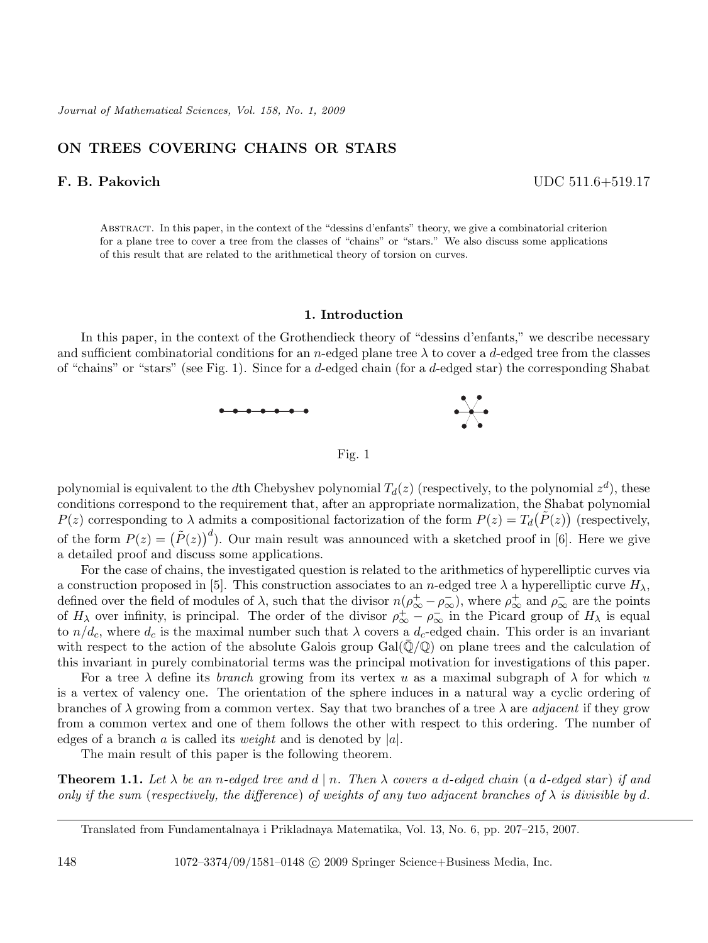# **ON TREES COVERING CHAINS OR STARS**

**F. B. Pakovich** UDC 511.6+519.17

Abstract. In this paper, in the context of the "dessins d'enfants" theory, we give a combinatorial criterion for a plane tree to cover a tree from the classes of "chains" or "stars." We also discuss some applications of this result that are related to the arithmetical theory of torsion on curves.

## **1. Introduction**

In this paper, in the context of the Grothendieck theory of "dessins d'enfants," we describe necessary and sufficient combinatorial conditions for an n-edged plane tree  $\lambda$  to cover a d-edged tree from the classes of "chains" or "stars" (see Fig. 1). Since for a d-edged chain (for a d-edged star) the corresponding Shabat



Fig. 1

polynomial is equivalent to the dth Chebyshev polynomial  $T_d(z)$  (respectively, to the polynomial  $z^d$ ), these conditions correspond to the requirement that, after an appropriate normalization, the Shabat polynomial  $P(z)$  corresponding to  $\lambda$  admits a compositional factorization of the form  $P(z) = T_d(\tilde{P}(z))$  (respectively, of the form  $P(z) = (\tilde{P}(z))^d$ . Our main result was announced with a sketched proof in [6]. Here we give a detailed proof and discuss some applications.

For the case of chains, the investigated question is related to the arithmetics of hyperelliptic curves via a construction proposed in [5]. This construction associates to an n-edged tree  $\lambda$  a hyperelliptic curve  $H_{\lambda}$ , defined over the field of modules of  $\lambda$ , such that the divisor  $n(\rho^+_{\infty} - \rho^-_{\infty})$ , where  $\rho^+_{\infty}$  and  $\rho^-_{\infty}$  are the points of  $H_{\lambda}$  over infinity, is principal. The order of the divisor  $\rho_{\infty}^{+} - \rho_{\infty}^{-}$  in the Picard group of  $H_{\lambda}$  is equal to  $n/d_c$ , where  $d_c$  is the maximal number such that  $\lambda$  covers a  $d_c$ -edged chain. This order is an invariant with respect to the action of the absolute Galois group  $Gal(\mathbb{Q}/\mathbb{Q})$  on plane trees and the calculation of this invariant in purely combinatorial terms was the principal motivation for investigations of this paper.

For a tree  $\lambda$  define its *branch* growing from its vertex u as a maximal subgraph of  $\lambda$  for which u is a vertex of valency one. The orientation of the sphere induces in a natural way a cyclic ordering of branches of  $\lambda$  growing from a common vertex. Say that two branches of a tree  $\lambda$  are *adjacent* if they grow from a common vertex and one of them follows the other with respect to this ordering. The number of edges of a branch a is called its *weight* and is denoted by  $|a|$ .

The main result of this paper is the following theorem.

**Theorem 1.1.** Let  $\lambda$  be an n-edged tree and  $d \mid n$ . Then  $\lambda$  covers a d-edged chain (a d-edged star) if and *only if the sum (respectively, the difference) of weights of any two adjacent branches of*  $\lambda$  *is divisible by* d.

Translated from Fundamentalnaya i Prikladnaya Matematika, Vol. 13, No. 6, pp. 207–215, 2007.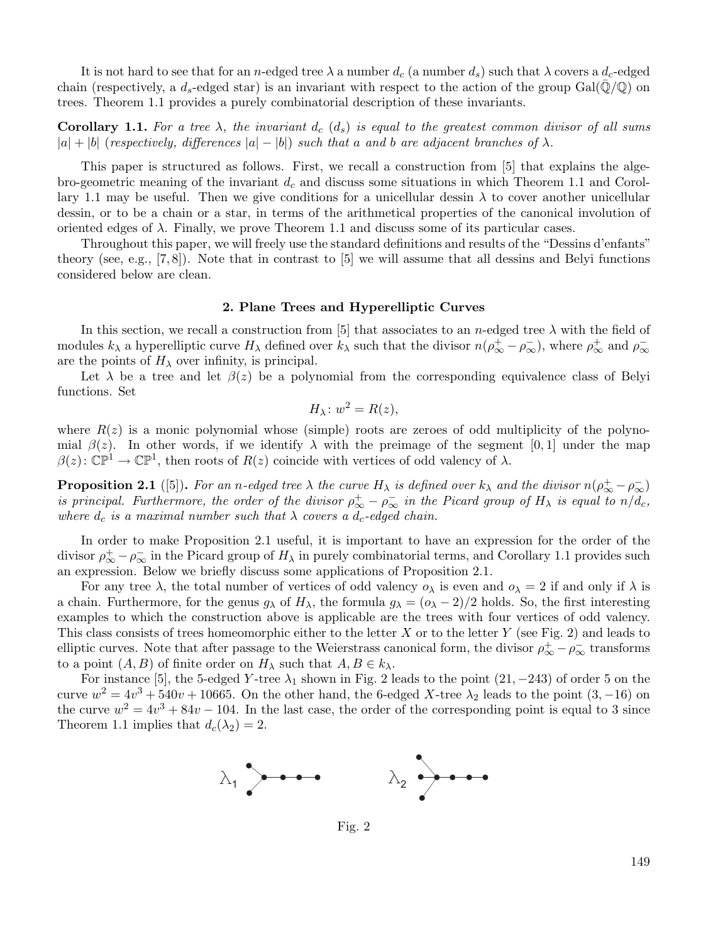It is not hard to see that for an n-edged tree  $\lambda$  a number  $d_c$  (a number  $d_s$ ) such that  $\lambda$  covers a  $d_c$ -edged chain (respectively, a  $d_s$ -edged star) is an invariant with respect to the action of the group Gal( $\mathbb{Q}/\mathbb{Q}$ ) on trees. Theorem 1.1 provides a purely combinatorial description of these invariants.

**Corollary 1.1.** For a tree  $\lambda$ , the invariant  $d_c$  ( $d_s$ ) is equal to the greatest common divisor of all sums  $|a| + |b|$  (*respectively, differences*  $|a| - |b|$ ) *such that* a and b are adjacent branches of  $\lambda$ .

This paper is structured as follows. First, we recall a construction from [5] that explains the algebro-geometric meaning of the invariant  $d_c$  and discuss some situations in which Theorem 1.1 and Corollary 1.1 may be useful. Then we give conditions for a unicellular dessin  $\lambda$  to cover another unicellular dessin, or to be a chain or a star, in terms of the arithmetical properties of the canonical involution of oriented edges of  $\lambda$ . Finally, we prove Theorem 1.1 and discuss some of its particular cases.

Throughout this paper, we will freely use the standard definitions and results of the "Dessins d'enfants" theory (see, e.g.,  $[7, 8]$ ). Note that in contrast to  $[5]$  we will assume that all dessins and Belyi functions considered below are clean.

### **2. Plane Trees and Hyperelliptic Curves**

In this section, we recall a construction from [5] that associates to an n-edged tree  $\lambda$  with the field of modules  $k_{\lambda}$  a hyperelliptic curve  $H_{\lambda}$  defined over  $k_{\lambda}$  such that the divisor  $n(\rho_{\infty}^+ - \rho_{\infty}^-)$ , where  $\rho_{\infty}^+$  and  $\rho_{\infty}^$ are the points of  $H_{\lambda}$  over infinity, is principal.

Let  $\lambda$  be a tree and let  $\beta(z)$  be a polynomial from the corresponding equivalence class of Belyi functions. Set

$$
H_{\lambda}: w^2 = R(z),
$$

where  $R(z)$  is a monic polynomial whose (simple) roots are zeroes of odd multiplicity of the polynomial  $\beta(z)$ . In other words, if we identify  $\lambda$  with the preimage of the segment [0, 1] under the map  $\beta(z): \mathbb{CP}^1 \to \mathbb{CP}^1$ , then roots of  $R(z)$  coincide with vertices of odd valency of  $\lambda$ .

**Proposition 2.1** ([5]). For an n-edged tree  $\lambda$  the curve  $H_{\lambda}$  is defined over  $k_{\lambda}$  and the divisor  $n(\rho_{\infty}^+ - \rho_{\infty}^-)$ *is principal. Furthermore, the order of the divisor*  $\rho^+_{\infty} - \rho^-_{\infty}$  *in the Picard group of*  $H_{\lambda}$  *is equal to*  $n/d_c$ , *where*  $d_c$  *is a maximal number such that*  $\lambda$  *covers a*  $d_c$ *-edged chain.* 

In order to make Proposition 2.1 useful, it is important to have an expression for the order of the divisor  $\rho_{\infty}^+ - \rho_{\infty}^-$  in the Picard group of  $H_{\lambda}$  in purely combinatorial terms, and Corollary 1.1 provides such an expression. Below we briefly discuss some applications of Proposition 2.1.

For any tree  $\lambda$ , the total number of vertices of odd valency  $o_\lambda$  is even and  $o_\lambda = 2$  if and only if  $\lambda$  is a chain. Furthermore, for the genus  $g_{\lambda}$  of  $H_{\lambda}$ , the formula  $g_{\lambda} = (\rho_{\lambda} - 2)/2$  holds. So, the first interesting examples to which the construction above is applicable are the trees with four vertices of odd valency. This class consists of trees homeomorphic either to the letter X or to the letter Y (see Fig. 2) and leads to elliptic curves. Note that after passage to the Weierstrass canonical form, the divisor  $\rho^+_{\infty} - \rho^-_{\infty}$  transforms to a point  $(A, B)$  of finite order on  $H_{\lambda}$  such that  $A, B \in k_{\lambda}$ .

For instance [5], the 5-edged Y-tree  $\lambda_1$  shown in Fig. 2 leads to the point (21, −243) of order 5 on the curve  $w^2 = 4v^3 + 540v + 10665$ . On the other hand, the 6-edged X-tree  $\lambda_2$  leads to the point  $(3, -16)$  on the curve  $w^2 = 4v^3 + 84v - 104$ . In the last case, the order of the corresponding point is equal to 3 since Theorem 1.1 implies that  $d_c(\lambda_2) = 2$ .



Fig. 2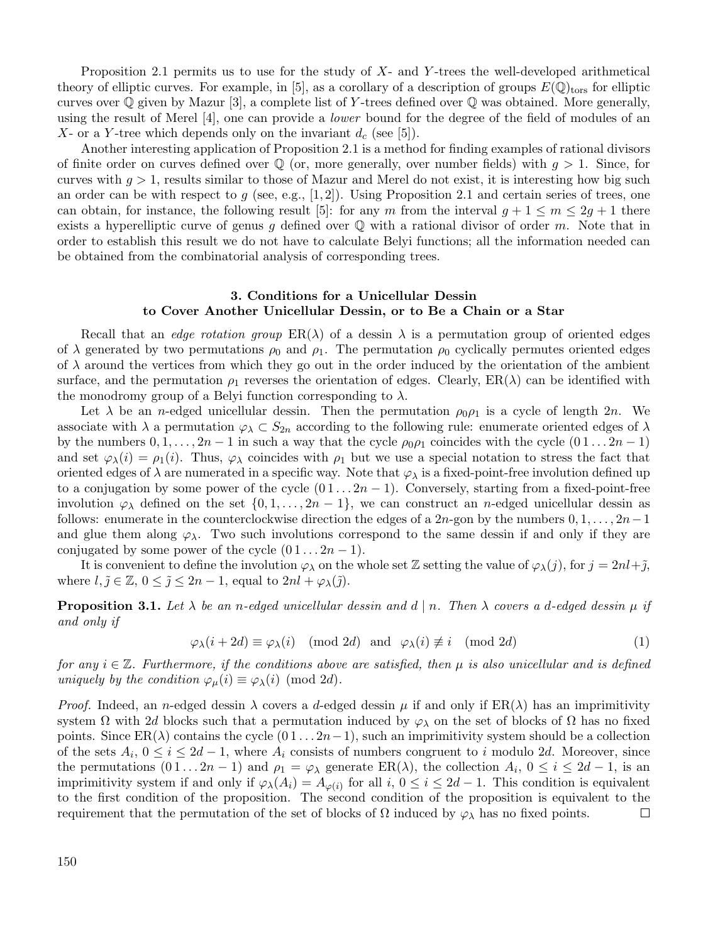Proposition 2.1 permits us to use for the study of  $X$ - and Y-trees the well-developed arithmetical theory of elliptic curves. For example, in [5], as a corollary of a description of groups  $E(\mathbb{Q})_{\text{tors}}$  for elliptic curves over  $\mathbb Q$  given by Mazur [3], a complete list of Y-trees defined over  $\mathbb Q$  was obtained. More generally, using the result of Merel [4], one can provide a *lower* bound for the degree of the field of modules of an X- or a Y-tree which depends only on the invariant  $d_c$  (see [5]).

Another interesting application of Proposition 2.1 is a method for finding examples of rational divisors of finite order on curves defined over  $\mathbb Q$  (or, more generally, over number fields) with  $q > 1$ . Since, for curves with  $g > 1$ , results similar to those of Mazur and Merel do not exist, it is interesting how big such an order can be with respect to g (see, e.g., [1, 2]). Using Proposition 2.1 and certain series of trees, one can obtain, for instance, the following result [5]: for any m from the interval  $q + 1 \le m \le 2q + 1$  there exists a hyperelliptic curve of genus g defined over  $\mathbb Q$  with a rational divisor of order m. Note that in order to establish this result we do not have to calculate Belyi functions; all the information needed can be obtained from the combinatorial analysis of corresponding trees.

## **3. Conditions for a Unicellular Dessin to Cover Another Unicellular Dessin, or to Be a Chain or a Star**

Recall that an *edge rotation group*  $ER(\lambda)$  of a dessin  $\lambda$  is a permutation group of oriented edges of  $\lambda$  generated by two permutations  $\rho_0$  and  $\rho_1$ . The permutation  $\rho_0$  cyclically permutes oriented edges of  $\lambda$  around the vertices from which they go out in the order induced by the orientation of the ambient surface, and the permutation  $\rho_1$  reverses the orientation of edges. Clearly,  $ER(\lambda)$  can be identified with the monodromy group of a Belyi function corresponding to  $\lambda$ .

Let  $\lambda$  be an *n*-edged unicellular dessin. Then the permutation  $\rho_0 \rho_1$  is a cycle of length 2*n*. We associate with  $\lambda$  a permutation  $\varphi_{\lambda} \subset S_{2n}$  according to the following rule: enumerate oriented edges of  $\lambda$ by the numbers  $0, 1, \ldots, 2n - 1$  in such a way that the cycle  $\rho_0 \rho_1$  coincides with the cycle  $(0 1 \ldots 2n - 1)$ and set  $\varphi_{\lambda}(i) = \rho_1(i)$ . Thus,  $\varphi_{\lambda}$  coincides with  $\rho_1$  but we use a special notation to stress the fact that oriented edges of  $\lambda$  are numerated in a specific way. Note that  $\varphi_{\lambda}$  is a fixed-point-free involution defined up to a conjugation by some power of the cycle  $(0 1 ... 2n - 1)$ . Conversely, starting from a fixed-point-free involution  $\varphi_{\lambda}$  defined on the set  $\{0, 1, \ldots, 2n-1\}$ , we can construct an *n*-edged unicellular dessin as follows: enumerate in the counterclockwise direction the edges of a 2n-gon by the numbers  $0, 1, \ldots, 2n-1$ and glue them along  $\varphi_{\lambda}$ . Two such involutions correspond to the same dessin if and only if they are conjugated by some power of the cycle  $(0 1 ... 2n - 1)$ .

It is convenient to define the involution  $\varphi_\lambda$  on the whole set Z setting the value of  $\varphi_\lambda(j)$ , for  $j = 2nl + \tilde{j}$ , where  $l, \tilde{j} \in \mathbb{Z}, 0 \leq \tilde{j} \leq 2n-1$ , equal to  $2nl + \varphi_{\lambda}(\tilde{j})$ .

**Proposition 3.1.** Let  $\lambda$  be an n-edged unicellular dessin and d | n. Then  $\lambda$  covers a d-edged dessin  $\mu$  if *and only if*

$$
\varphi_{\lambda}(i+2d) \equiv \varphi_{\lambda}(i) \pmod{2d} \text{ and } \varphi_{\lambda}(i) \not\equiv i \pmod{2d} \tag{1}
$$

*for any*  $i \in \mathbb{Z}$ . Furthermore, if the conditions above are satisfied, then  $\mu$  is also unicellular and is defined *uniquely by the condition*  $\varphi_{\mu}(i) \equiv \varphi_{\lambda}(i) \pmod{2d}$ .

*Proof.* Indeed, an *n*-edged dessin  $\lambda$  covers a d-edged dessin  $\mu$  if and only if  $ER(\lambda)$  has an imprimitivity system  $\Omega$  with 2d blocks such that a permutation induced by  $\varphi_{\lambda}$  on the set of blocks of  $\Omega$  has no fixed points. Since  $ER(\lambda)$  contains the cycle  $(0 1 ... 2n-1)$ , such an imprimitivity system should be a collection of the sets  $A_i$ ,  $0 \le i \le 2d-1$ , where  $A_i$  consists of numbers congruent to i modulo 2d. Moreover, since the permutations  $(0 1 ... 2n - 1)$  and  $\rho_1 = \varphi_\lambda$  generate  $\text{ER}(\lambda)$ , the collection  $A_i$ ,  $0 \le i \le 2d - 1$ , is an imprimitivity system if and only if  $\varphi_{\lambda}(A_i) = A_{\varphi(i)}$  for all  $i, 0 \le i \le 2d - 1$ . This condition is equivalent to the first condition of the proposition. The second condition of the proposition is equivalent to the requirement that the permutation of the set of blocks of  $\Omega$  induced by  $\varphi_{\lambda}$  has no fixed points.  $\Box$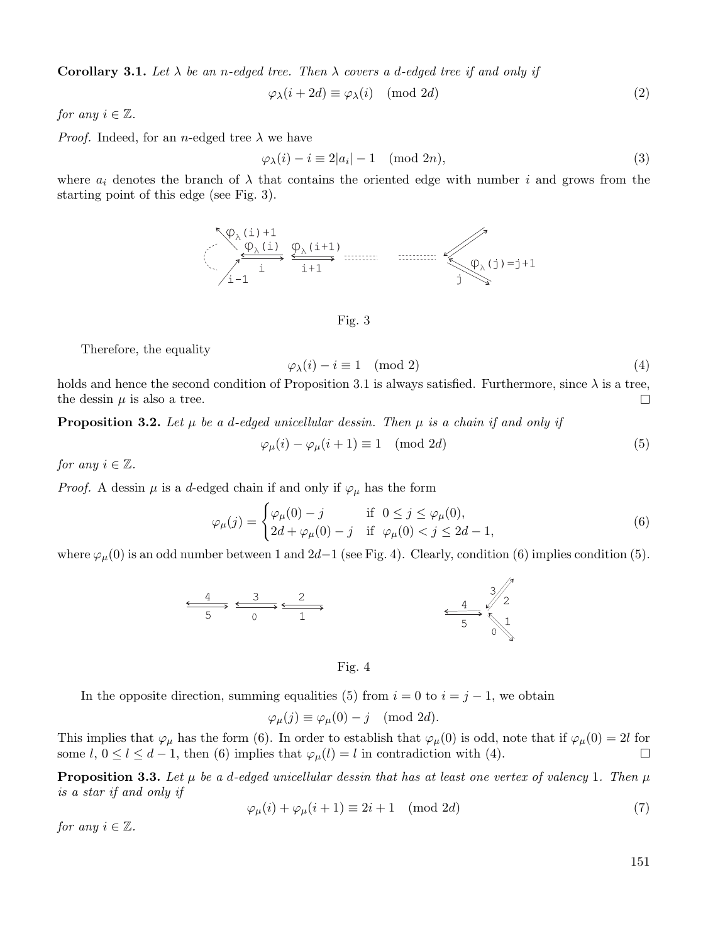**Corollary 3.1.** Let  $\lambda$  be an n-edged tree. Then  $\lambda$  covers a d-edged tree if and only if

$$
\varphi_{\lambda}(i+2d) \equiv \varphi_{\lambda}(i) \pmod{2d} \tag{2}
$$

*for any*  $i \in \mathbb{Z}$ *.* 

*Proof.* Indeed, for an *n*-edged tree  $\lambda$  we have

$$
\varphi_{\lambda}(i) - i \equiv 2|a_i| - 1 \pmod{2n},\tag{3}
$$

where  $a_i$  denotes the branch of  $\lambda$  that contains the oriented edge with number i and grows from the starting point of this edge (see Fig. 3).



Fig. 3

Therefore, the equality

$$
\varphi_{\lambda}(i) - i \equiv 1 \pmod{2} \tag{4}
$$

holds and hence the second condition of Proposition 3.1 is always satisfied. Furthermore, since  $\lambda$  is a tree, the dessin  $\mu$  is also a tree.  $\Box$ 

**Proposition 3.2.** Let  $\mu$  be a d-edged unicellular dessin. Then  $\mu$  is a chain if and only if

$$
\varphi_{\mu}(i) - \varphi_{\mu}(i+1) \equiv 1 \pmod{2d} \tag{5}
$$

*for any*  $i \in \mathbb{Z}$ *.* 

*Proof.* A dessin  $\mu$  is a d-edged chain if and only if  $\varphi_{\mu}$  has the form

$$
\varphi_{\mu}(j) = \begin{cases} \varphi_{\mu}(0) - j & \text{if } 0 \le j \le \varphi_{\mu}(0), \\ 2d + \varphi_{\mu}(0) - j & \text{if } \varphi_{\mu}(0) < j \le 2d - 1, \end{cases}
$$
\n(6)

where  $\varphi_\mu(0)$  is an odd number between 1 and 2d−1 (see Fig. 4). Clearly, condition (6) implies condition (5).



Fig. 4

In the opposite direction, summing equalities (5) from  $i = 0$  to  $i = j - 1$ , we obtain

$$
\varphi_{\mu}(j) \equiv \varphi_{\mu}(0) - j \pmod{2d}.
$$

This implies that  $\varphi_\mu$  has the form (6). In order to establish that  $\varphi_\mu(0)$  is odd, note that if  $\varphi_\mu(0) = 2l$  for some l,  $0 \le l \le d-1$ , then (6) implies that  $\varphi_{\mu}(l) = l$  in contradiction with (4).  $\Box$ 

**Proposition 3.3.** Let  $\mu$  be a d-edged unicellular dessin that has at least one vertex of valency 1. Then  $\mu$ *is a star if and only if*

$$
\varphi_{\mu}(i) + \varphi_{\mu}(i+1) \equiv 2i + 1 \pmod{2d} \tag{7}
$$

*for any*  $i \in \mathbb{Z}$ *.* 

151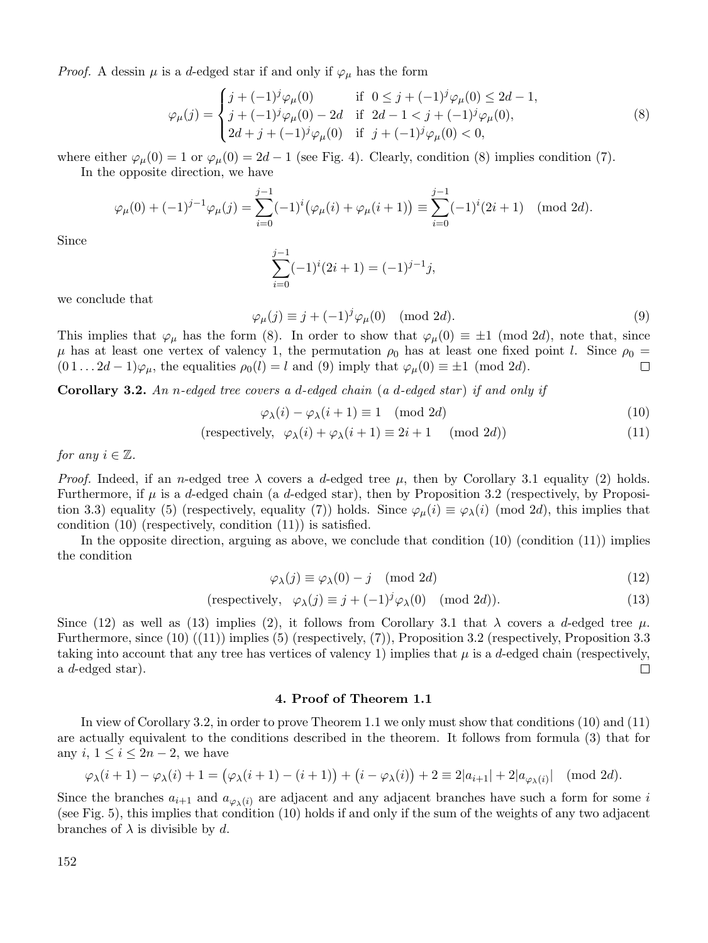*Proof.* A dessin  $\mu$  is a d-edged star if and only if  $\varphi_{\mu}$  has the form

$$
\varphi_{\mu}(j) = \begin{cases}\nj + (-1)^{j} \varphi_{\mu}(0) & \text{if } 0 \leq j + (-1)^{j} \varphi_{\mu}(0) \leq 2d - 1, \\
j + (-1)^{j} \varphi_{\mu}(0) - 2d & \text{if } 2d - 1 < j + (-1)^{j} \varphi_{\mu}(0), \\
2d + j + (-1)^{j} \varphi_{\mu}(0) & \text{if } j + (-1)^{j} \varphi_{\mu}(0) < 0,\n\end{cases}
$$
\n(8)

where either  $\varphi_\mu(0) = 1$  or  $\varphi_\mu(0) = 2d - 1$  (see Fig. 4). Clearly, condition (8) implies condition (7). In the opposite direction, we have

$$
\varphi_{\mu}(0) + (-1)^{j-1} \varphi_{\mu}(j) = \sum_{i=0}^{j-1} (-1)^i (\varphi_{\mu}(i) + \varphi_{\mu}(i+1)) \equiv \sum_{i=0}^{j-1} (-1)^i (2i+1) \pmod{2d}.
$$

Since

$$
\sum_{i=0}^{j-1} (-1)^{i} (2i+1) = (-1)^{j-1} j,
$$

we conclude that

 $\varphi_{\mu}(j) \equiv j + (-1)^{j} \varphi_{\mu}(0) \pmod{2d}.$ (9)

This implies that  $\varphi_\mu$  has the form (8). In order to show that  $\varphi_\mu(0) \equiv \pm 1 \pmod{2d}$ , note that, since  $\mu$  has at least one vertex of valency 1, the permutation  $\rho_0$  has at least one fixed point l. Since  $\rho_0$  =  $(0 1 ... 2d - 1)\varphi_{\mu}$ , the equalities  $\rho_0(l) = l$  and  $(9)$  imply that  $\varphi_{\mu}(0) \equiv \pm 1 \pmod{2d}$ . П

**Corollary 3.2.** *An* n*-edged tree covers a* d*-edged chain* (*a* d*-edged star* ) *if and only if*

$$
\varphi_{\lambda}(i) - \varphi_{\lambda}(i+1) \equiv 1 \pmod{2d} \tag{10}
$$

$$
(\text{respectively, } \varphi_{\lambda}(i) + \varphi_{\lambda}(i+1) \equiv 2i + 1 \pmod{2d} \tag{11}
$$

*for any*  $i \in \mathbb{Z}$ *.* 

*Proof.* Indeed, if an n-edged tree  $\lambda$  covers a d-edged tree  $\mu$ , then by Corollary 3.1 equality (2) holds. Furthermore, if  $\mu$  is a d-edged chain (a d-edged star), then by Proposition 3.2 (respectively, by Proposition 3.3) equality (5) (respectively, equality (7)) holds. Since  $\varphi_{\mu}(i) \equiv \varphi_{\lambda}(i)$  (mod 2d), this implies that condition (10) (respectively, condition (11)) is satisfied.

In the opposite direction, arguing as above, we conclude that condition  $(10)$  (condition  $(11)$ ) implies the condition

$$
\varphi_{\lambda}(j) \equiv \varphi_{\lambda}(0) - j \pmod{2d} \tag{12}
$$

(respectively, 
$$
\varphi_{\lambda}(j) \equiv j + (-1)^{j} \varphi_{\lambda}(0) \pmod{2d}
$$
). (13)

Since (12) as well as (13) implies (2), it follows from Corollary 3.1 that  $\lambda$  covers a d-edged tree  $\mu$ . Furthermore, since (10) ((11)) implies (5) (respectively, (7)), Proposition 3.2 (respectively, Proposition 3.3 taking into account that any tree has vertices of valency 1) implies that  $\mu$  is a d-edged chain (respectively, a d-edged star).  $\Box$ 

## **4. Proof of Theorem 1.1**

In view of Corollary 3.2, in order to prove Theorem 1.1 we only must show that conditions (10) and (11) are actually equivalent to the conditions described in the theorem. It follows from formula (3) that for any  $i, 1 \leq i \leq 2n-2$ , we have

$$
\varphi_{\lambda}(i+1) - \varphi_{\lambda}(i) + 1 = (\varphi_{\lambda}(i+1) - (i+1)) + (i - \varphi_{\lambda}(i)) + 2 \equiv 2|a_{i+1}| + 2|a_{\varphi_{\lambda}(i)}| \pmod{2d}.
$$

Since the branches  $a_{i+1}$  and  $a_{\varphi_{\lambda}(i)}$  are adjacent and any adjacent branches have such a form for some i (see Fig. 5), this implies that condition (10) holds if and only if the sum of the weights of any two adjacent branches of  $\lambda$  is divisible by d.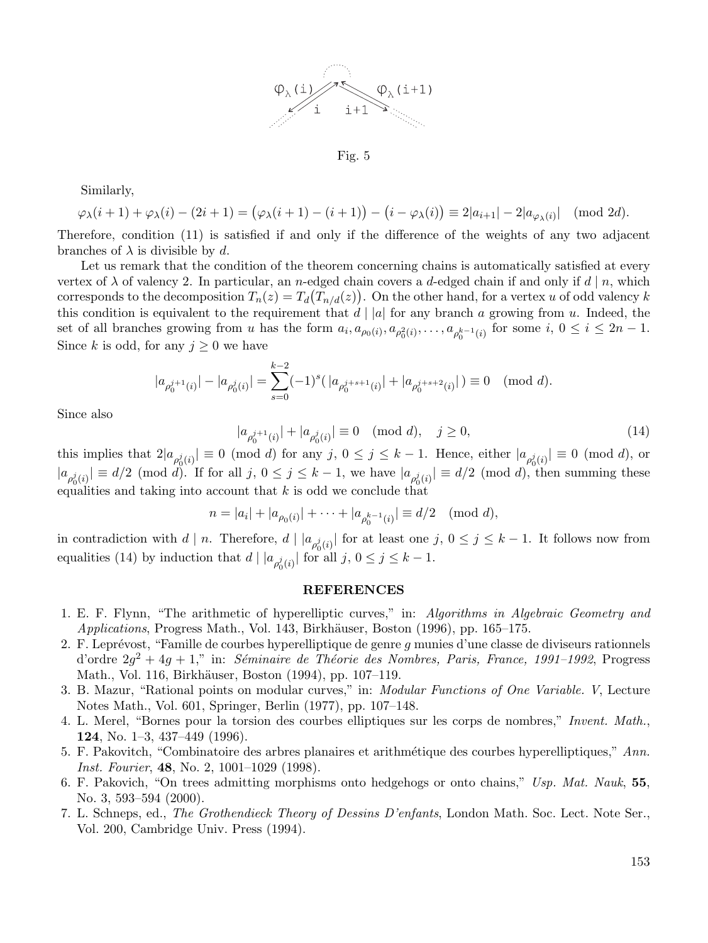

Fig. 5

Similarly,

$$
\varphi_{\lambda}(i+1) + \varphi_{\lambda}(i) - (2i+1) = (\varphi_{\lambda}(i+1) - (i+1)) - (i - \varphi_{\lambda}(i)) \equiv 2|a_{i+1}| - 2|a_{\varphi_{\lambda}(i)}| \pmod{2d}.
$$

Therefore, condition (11) is satisfied if and only if the difference of the weights of any two adjacent branches of  $\lambda$  is divisible by d.

Let us remark that the condition of the theorem concerning chains is automatically satisfied at every vertex of  $\lambda$  of valency 2. In particular, an n-edged chain covers a d-edged chain if and only if d | n, which corresponds to the decomposition  $T_n(z) = T_d(T_{n/d}(z))$ . On the other hand, for a vertex u of odd valency k this condition is equivalent to the requirement that  $d \mid |a|$  for any branch a growing from u. Indeed, the set of all branches growing from u has the form  $a_i, a_{\rho_0(i)}, a_{\rho_0^2(i)}, \ldots, a_{\rho_0^{k-1}(i)}$  for some  $i, 0 \le i \le 2n-1$ . Since k is odd, for any  $j \geq 0$  we have

$$
|a_{\rho_0^{j+1}(i)}|-|a_{\rho_0^j(i)}|=\sum_{s=0}^{k-2}(-1)^s(\,|a_{\rho_0^{j+s+1}(i)}|+|a_{\rho_0^{j+s+2}(i)}| \,)\equiv 0\pmod{d}.
$$

Since also

 $|a_{\rho_0^{j+1}(i)}| + |a_{\rho_0^j(i)}| \equiv 0 \pmod{d}, \quad j \ge 0,$  (14)

this implies that  $2|a_{\rho_0^j(i)}| \equiv 0 \pmod{d}$  for any  $j, 0 \le j \le k-1$ . Hence, either  $|a_{\rho_0^j(i)}| \equiv 0 \pmod{d}$ , or  $|a_{\rho_0^j(i)}| \equiv d/2 \pmod{d}$ . If for all  $j, 0 \le j \le k-1$ , we have  $|a_{\rho_0^j(i)}| \equiv d/2 \pmod{d}$ , then summing these equalities and taking into account that  $k$  is odd we conclude that

$$
n = |a_i| + |a_{\rho_0(i)}| + \cdots + |a_{\rho_0^{k-1}(i)}| \equiv d/2 \pmod{d},
$$

in contradiction with  $d | n$ . Therefore,  $d | a_{\rho_0^j(i)} |$  for at least one  $j, 0 \le j \le k-1$ . It follows now from equalities (14) by induction that  $d | |a_{\rho_0^j(i)}|$  for all  $j, 0 \le j \le k - 1$ .

# **REFERENCES**

- 1. E. F. Flynn, "The arithmetic of hyperelliptic curves," in: *Algorithms in Algebraic Geometry and Applications*, Progress Math., Vol. 143, Birkhäuser, Boston (1996), pp. 165–175.
- 2. F. Leprévost, "Famille de courbes hyperelliptique de genre  $q$  munies d'une classe de diviseurs rationnels d'ordre  $2q^2 + 4q + 1$ ," in: *Séminaire de Théorie des Nombres, Paris, France, 1991–1992*, Progress Math., Vol. 116, Birkhäuser, Boston (1994), pp. 107–119.
- 3. B. Mazur, "Rational points on modular curves," in: *Modular Functions of One Variable. V*, Lecture Notes Math., Vol. 601, Springer, Berlin (1977), pp. 107–148.
- 4. L. Merel, "Bornes pour la torsion des courbes elliptiques sur les corps de nombres," *Invent. Math.*, **124**, No. 1–3, 437–449 (1996).
- 5. F. Pakovitch, "Combinatoire des arbres planaires et arithm´etique des courbes hyperelliptiques," *Ann. Inst. Fourier*, **48**, No. 2, 1001–1029 (1998).
- 6. F. Pakovich, "On trees admitting morphisms onto hedgehogs or onto chains," *Usp. Mat. Nauk*, **55**, No. 3, 593–594 (2000).
- 7. L. Schneps, ed., *The Grothendieck Theory of Dessins D'enfants*, London Math. Soc. Lect. Note Ser., Vol. 200, Cambridge Univ. Press (1994).